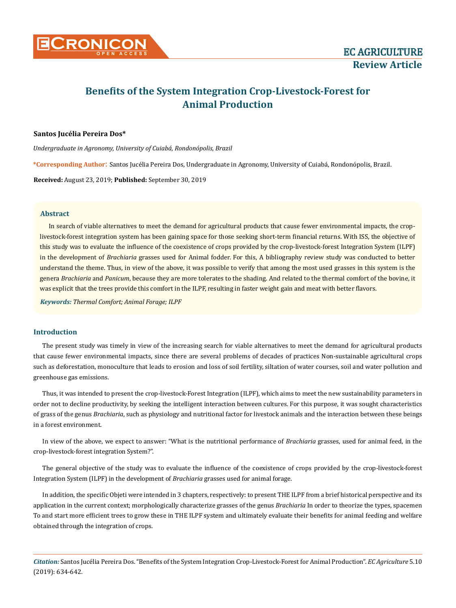

# **Benefits of the System Integration Crop-Livestock-Forest for Animal Production**

# **Santos Jucélia Pereira Dos\***

*Undergraduate in Agronomy, University of Cuiabá, Rondonópolis, Brazil*

**\*Corresponding Author**: Santos Jucélia Pereira Dos, Undergraduate in Agronomy, University of Cuiabá, Rondonópolis, Brazil.

**Received:** August 23, 2019; **Published:** September 30, 2019

## **Abstract**

In search of viable alternatives to meet the demand for agricultural products that cause fewer environmental impacts, the croplivestock-forest integration system has been gaining space for those seeking short-term financial returns. With ISS, the objective of this study was to evaluate the influence of the coexistence of crops provided by the crop-livestock-forest Integration System (ILPF) in the development of *Brachiaria* grasses used for Animal fodder. For this, A bibliography review study was conducted to better understand the theme. Thus, in view of the above, it was possible to verify that among the most used grasses in this system is the genera *Brachiaria* and *Panicum*, because they are more tolerates to the shading. And related to the thermal comfort of the bovine, it was explicit that the trees provide this comfort in the ILPF, resulting in faster weight gain and meat with better flavors.

*Keywords: Thermal Comfort; Animal Forage; ILPF*

## **Introduction**

The present study was timely in view of the increasing search for viable alternatives to meet the demand for agricultural products that cause fewer environmental impacts, since there are several problems of decades of practices Non-sustainable agricultural crops such as deforestation, monoculture that leads to erosion and loss of soil fertility, siltation of water courses, soil and water pollution and greenhouse gas emissions.

Thus, it was intended to present the crop-livestock-Forest Integration (ILPF), which aims to meet the new sustainability parameters in order not to decline productivity, by seeking the intelligent interaction between cultures. For this purpose, it was sought characteristics of grass of the genus *Brachiaria*, such as physiology and nutritional factor for livestock animals and the interaction between these beings in a forest environment.

In view of the above, we expect to answer: "What is the nutritional performance of *Brachiaria* grasses, used for animal feed, in the crop-livestock-forest integration System?".

The general objective of the study was to evaluate the influence of the coexistence of crops provided by the crop-livestock-forest Integration System (ILPF) in the development of *Brachiaria* grasses used for animal forage.

In addition, the specific Objeti were intended in 3 chapters, respectively: to present THE ILPF from a brief historical perspective and its application in the current context; morphologically characterize grasses of the genus *Brachiaria* In order to theorize the types, spacemen To and start more efficient trees to grow these in THE ILPF system and ultimately evaluate their benefits for animal feeding and welfare obtained through the integration of crops.

*Citation:* Santos Jucélia Pereira Dos. "Benefits of the System Integration Crop-Livestock-Forest for Animal Production". *EC Agriculture* 5.10 (2019): 634-642.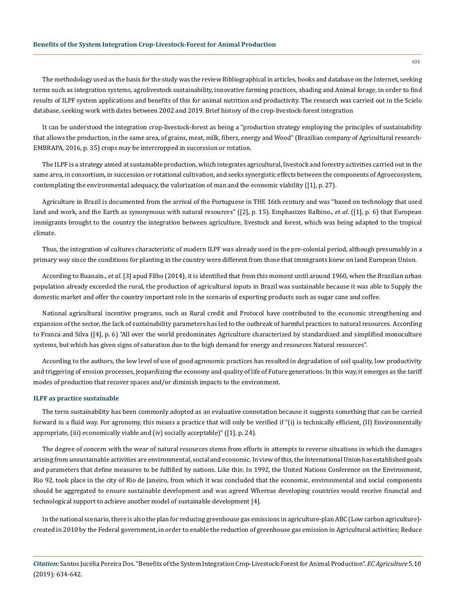The methodology used as the basis for the study was the review Bibliographical in articles, books and database on the Internet, seeking terms such as integration systems, agrolivestock sustainability, innovative farming practices, shading and Animal forage, in order to find results of ILPF system applications and benefits of this for animal nutrition and productivity. The research was carried out in the Scielo database, seeking work with dates between 2002 and 2019. Brief history of the crop-livestock-forest integration

It can be understood the integration crop-livestock-forest as being a "production strategy employing the principles of sustainability that allows the production, in the same area, of grains, meat, milk, fibers, energy and Wood" (Brazilian company of Agricultural research-EMBRAPA, 2016, p. 35) crops may be intercropped in succession or rotation.

The ILPF is a strategy aimed at sustainable production, which integrates agricultural, livestock and forestry activities carried out in the same area, in consortium, in succession or rotational cultivation, and seeks synergistic effects between the components of Agroecosystem, contemplating the environmental adequacy, the valorization of man and the economic viability ([1], p. 27).

Agriculture in Brazil is documented from the arrival of the Portuguese in THE 16th century and was "based on technology that used land and work, and the Earth as synonymous with natural resources" ([2], p. 15). Emphasizes Balbino., *et al*. ([1], p. 6) that European immigrants brought to the country the integration between agriculture, livestock and forest, which was being adapted to the tropical climate.

Thus, the integration of cultures characteristic of modern ILPF was already used in the pre-colonial period, although presumably in a primary way since the conditions for planting in the country were different from those that immigrants knew on land European Union.

According to Buanain., *et al*. [3] apud Filho (2014), it is identified that from this moment until around 1960, when the Brazilian urban population already exceeded the rural, the production of agricultural inputs in Brazil was sustainable because it was able to Supply the domestic market and offer the country important role in the scenario of exporting products such as sugar cane and coffee.

National agricultural incentive programs, such as Rural credit and Protocol have contributed to the economic strengthening and expansion of the sector, the lack of sustainability parameters has led to the outbreak of harmful practices to natural resources. According to Franca and Silva ([4], p. 6) "All over the world predominates Agriculture characterized by standardized and simplified monoculture systems, but which has given signs of saturation due to the high demand for energy and resources Natural resources".

According to the authors, the low level of use of good agronomic practices has resulted in degradation of soil quality, low productivity and triggering of erosion processes, jeopardizing the economy and quality of life of Future generations. In this way, it emerges as the tariff modes of production that recover spaces and/or diminish impacts to the environment.

#### **ILPF as practice sustainable**

The term sustainability has been commonly adopted as an evaluative connotation because it suggests something that can be carried forward in a fluid way. For agronomy, this means a practice that will only be verified if "(i) is technically efficient, (II) Environmentally appropriate, (iii) economically viable and (iv) socially acceptable)" ([1], p. 24).

The degree of concern with the wear of natural resources stems from efforts in attempts to reverse situations in which the damages arising from unsustainable activities are environmental, social and economic. In view of this, the International Union has established goals and parameters that define measures to be fulfilled by nations. Like this: In 1992, the United Nations Conference on the Environment, Rio 92, took place in the city of Rio de Janeiro, from which it was concluded that the economic, environmental and social components should be aggregated to ensure sustainable development and was agreed Whereas developing countries would receive financial and technological support to achieve another model of sustainable development [4].

In the national scenario, there is also the plan for reducing greenhouse gas emissions in agriculture-plan ABC (Low carbon agriculture) created in 2010 by the Federal government, in order to enable the reduction of greenhouse gas emission in Agricultural activities; Reduce

*Citation:* Santos Jucélia Pereira Dos. "Benefits of the System Integration Crop-Livestock-Forest for Animal Production". *EC Agriculture* 5.10 (2019): 634-642.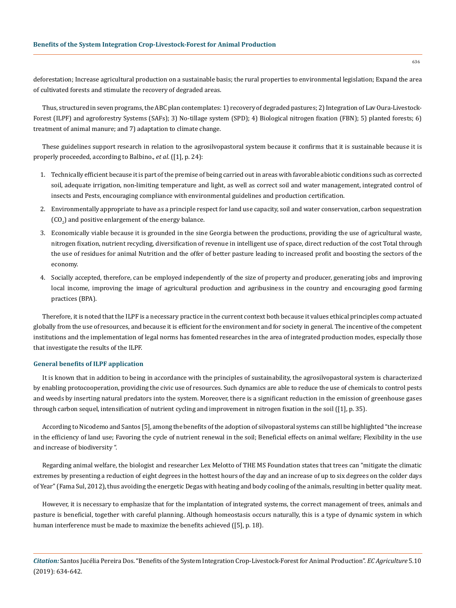deforestation; Increase agricultural production on a sustainable basis; the rural properties to environmental legislation; Expand the area of cultivated forests and stimulate the recovery of degraded areas.

Thus, structured in seven programs, the ABC plan contemplates: 1) recovery of degraded pastures; 2) Integration of Lav Oura-Livestock-Forest (ILPF) and agroforestry Systems (SAFs); 3) No-tillage system (SPD); 4) Biological nitrogen fixation (FBN); 5) planted forests; 6) treatment of animal manure; and 7) adaptation to climate change.

These guidelines support research in relation to the agrosilvopastoral system because it confirms that it is sustainable because it is properly proceeded, according to Balbino., *et al*. ([1], p. 24):

- 1. Technically efficient because it is part of the premise of being carried out in areas with favorable abiotic conditions such as corrected soil, adequate irrigation, non-limiting temperature and light, as well as correct soil and water management, integrated control of insects and Pests, encouraging compliance with environmental guidelines and production certification.
- 2. Environmentally appropriate to have as a principle respect for land use capacity, soil and water conservation, carbon sequestration (CO $_{2}$ ) and positive enlargement of the energy balance.
- 3. Economically viable because it is grounded in the sine Georgia between the productions, providing the use of agricultural waste, nitrogen fixation, nutrient recycling, diversification of revenue in intelligent use of space, direct reduction of the cost Total through the use of residues for animal Nutrition and the offer of better pasture leading to increased profit and boosting the sectors of the economy.
- 4. Socially accepted, therefore, can be employed independently of the size of property and producer, generating jobs and improving local income, improving the image of agricultural production and agribusiness in the country and encouraging good farming practices (BPA).

Therefore, it is noted that the ILPF is a necessary practice in the current context both because it values ethical principles comp actuated globally from the use of resources, and because it is efficient for the environment and for society in general. The incentive of the competent institutions and the implementation of legal norms has fomented researches in the area of integrated production modes, especially those that investigate the results of the ILPF.

## **General benefits of ILPF application**

It is known that in addition to being in accordance with the principles of sustainability, the agrosilvopastoral system is characterized by enabling protocooperation, providing the civic use of resources. Such dynamics are able to reduce the use of chemicals to control pests and weeds by inserting natural predators into the system. Moreover, there is a significant reduction in the emission of greenhouse gases through carbon sequel, intensification of nutrient cycling and improvement in nitrogen fixation in the soil ([1], p. 35).

According to Nicodemo and Santos [5], among the benefits of the adoption of silvopastoral systems can still be highlighted "the increase in the efficiency of land use; Favoring the cycle of nutrient renewal in the soil; Beneficial effects on animal welfare; Flexibility in the use and increase of biodiversity ".

Regarding animal welfare, the biologist and researcher Lex Melotto of THE MS Foundation states that trees can "mitigate the climatic extremes by presenting a reduction of eight degrees in the hottest hours of the day and an increase of up to six degrees on the colder days of Year" (Fama Sul, 2012), thus avoiding the energetic Degas with heating and body cooling of the animals, resulting in better quality meat.

However, it is necessary to emphasize that for the implantation of integrated systems, the correct management of trees, animals and pasture is beneficial, together with careful planning. Although homeostasis occurs naturally, this is a type of dynamic system in which human interference must be made to maximize the benefits achieved ([5], p. 18).

*Citation:* Santos Jucélia Pereira Dos. "Benefits of the System Integration Crop-Livestock-Forest for Animal Production". *EC Agriculture* 5.10 (2019): 634-642.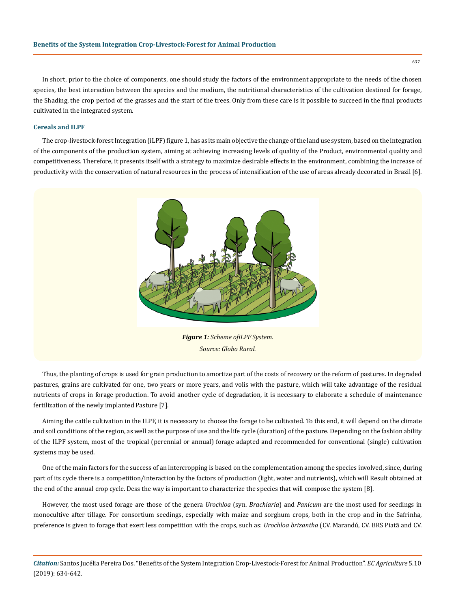In short, prior to the choice of components, one should study the factors of the environment appropriate to the needs of the chosen species, the best interaction between the species and the medium, the nutritional characteristics of the cultivation destined for forage, the Shading, the crop period of the grasses and the start of the trees. Only from these care is it possible to succeed in the final products cultivated in the integrated system.

#### **Cereals and ILPF**

The crop-livestock-forest Integration (iLPF) figure 1, has as its main objective the change of the land use system, based on the integration of the components of the production system, aiming at achieving increasing levels of quality of the Product, environmental quality and competitiveness. Therefore, it presents itself with a strategy to maximize desirable effects in the environment, combining the increase of productivity with the conservation of natural resources in the process of intensification of the use of areas already decorated in Brazil [6].



*Figure 1: Scheme ofiLPF System. Source: Globo Rural.*

Thus, the planting of crops is used for grain production to amortize part of the costs of recovery or the reform of pastures. In degraded pastures, grains are cultivated for one, two years or more years, and volis with the pasture, which will take advantage of the residual nutrients of crops in forage production. To avoid another cycle of degradation, it is necessary to elaborate a schedule of maintenance fertilization of the newly implanted Pasture [7].

Aiming the cattle cultivation in the ILPF, it is necessary to choose the forage to be cultivated. To this end, it will depend on the climate and soil conditions of the region, as well as the purpose of use and the life cycle (duration) of the pasture. Depending on the fashion ability of the ILPF system, most of the tropical (perennial or annual) forage adapted and recommended for conventional (single) cultivation systems may be used.

One of the main factors for the success of an intercropping is based on the complementation among the species involved, since, during part of its cycle there is a competition/interaction by the factors of production (light, water and nutrients), which will Result obtained at the end of the annual crop cycle. Dess the way is important to characterize the species that will compose the system [8].

However, the most used forage are those of the genera *Urochloa* (syn. *Brachiaria*) and *Panicum* are the most used for seedings in monocultive after tillage. For consortium seedings, especially with maize and sorghum crops, both in the crop and in the Safrinha, preference is given to forage that exert less competition with the crops, such as: *Urochloa brizantha* (CV. Marandú, CV. BRS Piatã and CV.

*Citation:* Santos Jucélia Pereira Dos. "Benefits of the System Integration Crop-Livestock-Forest for Animal Production". *EC Agriculture* 5.10 (2019): 634-642.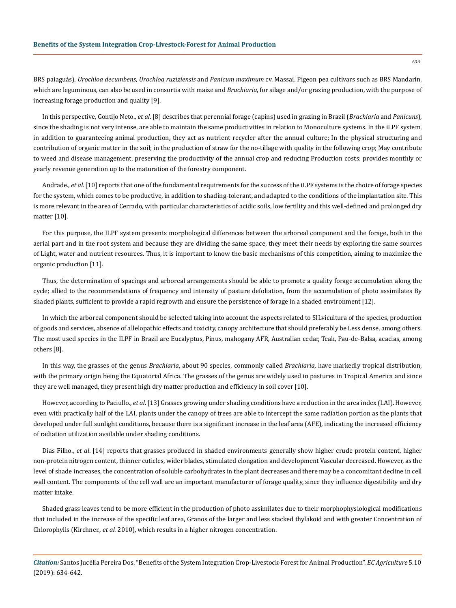BRS paiaguás), *Urochloa decumbens*, *Urochloa ruziziensis* and *Panicum maximum* cv. Massai. Pigeon pea cultivars such as BRS Mandarin, which are leguminous, can also be used in consortia with maize and *Brachiaria*, for silage and/or grazing production, with the purpose of increasing forage production and quality [9].

In this perspective, Gontijo Neto., *et al*. [8] describes that perennial forage (capins) used in grazing in Brazil (*Brachiaria* and *Panicuns*), since the shading is not very intense, are able to maintain the same productivities in relation to Monoculture systems. In the iLPF system, in addition to guaranteeing animal production, they act as nutrient recycler after the annual culture; In the physical structuring and contribution of organic matter in the soil; in the production of straw for the no-tillage with quality in the following crop; May contribute to weed and disease management, preserving the productivity of the annual crop and reducing Production costs; provides monthly or yearly revenue generation up to the maturation of the forestry component.

Andrade., *et al*. [10] reports that one of the fundamental requirements for the success of the iLPF systems is the choice of forage species for the system, which comes to be productive, in addition to shading-tolerant, and adapted to the conditions of the implantation site. This is more relevant in the area of Cerrado, with particular characteristics of acidic soils, low fertility and this well-defined and prolonged dry matter [10].

For this purpose, the ILPF system presents morphological differences between the arboreal component and the forage, both in the aerial part and in the root system and because they are dividing the same space, they meet their needs by exploring the same sources of Light, water and nutrient resources. Thus, it is important to know the basic mechanisms of this competition, aiming to maximize the organic production [11].

Thus, the determination of spacings and arboreal arrangements should be able to promote a quality forage accumulation along the cycle; allied to the recommendations of frequency and intensity of pasture defoliation, from the accumulation of photo assimilates By shaded plants, sufficient to provide a rapid regrowth and ensure the persistence of forage in a shaded environment [12].

In which the arboreal component should be selected taking into account the aspects related to SILvicultura of the species, production of goods and services, absence of allelopathic effects and toxicity, canopy architecture that should preferably be Less dense, among others. The most used species in the ILPF in Brazil are Eucalyptus, Pinus, mahogany AFR, Australian cedar, Teak, Pau-de-Balsa, acacias, among others [8].

In this way, the grasses of the genus *Brachiaria*, about 90 species, commonly called *Brachiaria,* have markedly tropical distribution, with the primary origin being the Equatorial Africa. The grasses of the genus are widely used in pastures in Tropical America and since they are well managed, they present high dry matter production and efficiency in soil cover [10].

However, according to Paciullo., *et al*. [13] Grasses growing under shading conditions have a reduction in the area index (LAI). However, even with practically half of the LAI, plants under the canopy of trees are able to intercept the same radiation portion as the plants that developed under full sunlight conditions, because there is a significant increase in the leaf area (AFE), indicating the increased efficiency of radiation utilization available under shading conditions.

Dias Filho., *et al*. [14] reports that grasses produced in shaded environments generally show higher crude protein content, higher non-protein nitrogen content, thinner cuticles, wider blades, stimulated elongation and development Vascular decreased. However, as the level of shade increases, the concentration of soluble carbohydrates in the plant decreases and there may be a concomitant decline in cell wall content. The components of the cell wall are an important manufacturer of forage quality, since they influence digestibility and dry matter intake.

Shaded grass leaves tend to be more efficient in the production of photo assimilates due to their morphophysiological modifications that included in the increase of the specific leaf area, Granos of the larger and less stacked thylakoid and with greater Concentration of Chlorophylls (Kirchner., *et al.* 2010), which results in a higher nitrogen concentration.

*Citation:* Santos Jucélia Pereira Dos. "Benefits of the System Integration Crop-Livestock-Forest for Animal Production". *EC Agriculture* 5.10 (2019): 634-642.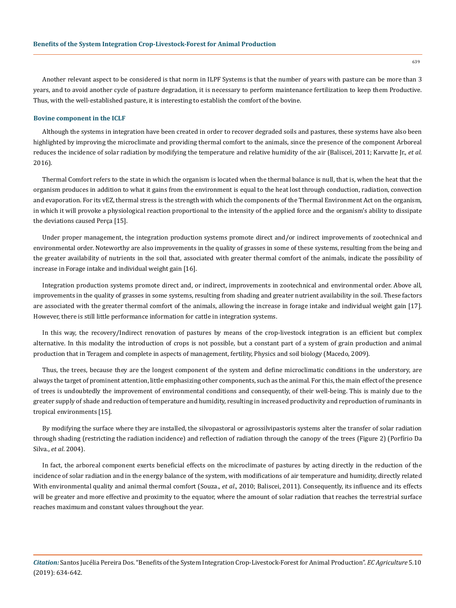Another relevant aspect to be considered is that norm in ILPF Systems is that the number of years with pasture can be more than 3 years, and to avoid another cycle of pasture degradation, it is necessary to perform maintenance fertilization to keep them Productive. Thus, with the well-established pasture, it is interesting to establish the comfort of the bovine.

#### **Bovine component in the ICLF**

Although the systems in integration have been created in order to recover degraded soils and pastures, these systems have also been highlighted by improving the microclimate and providing thermal comfort to the animals, since the presence of the component Arboreal reduces the incidence of solar radiation by modifying the temperature and relative humidity of the air (Baliscei, 2011; Karvatte Jr., *et al*. 2016).

Thermal Comfort refers to the state in which the organism is located when the thermal balance is null, that is, when the heat that the organism produces in addition to what it gains from the environment is equal to the heat lost through conduction, radiation, convection and evaporation. For its vEZ, thermal stress is the strength with which the components of the Thermal Environment Act on the organism, in which it will provoke a physiological reaction proportional to the intensity of the applied force and the organism's ability to dissipate the deviations caused Perça [15].

Under proper management, the integration production systems promote direct and/or indirect improvements of zootechnical and environmental order. Noteworthy are also improvements in the quality of grasses in some of these systems, resulting from the being and the greater availability of nutrients in the soil that, associated with greater thermal comfort of the animals, indicate the possibility of increase in Forage intake and individual weight gain [16].

Integration production systems promote direct and, or indirect, improvements in zootechnical and environmental order. Above all, improvements in the quality of grasses in some systems, resulting from shading and greater nutrient availability in the soil. These factors are associated with the greater thermal comfort of the animals, allowing the increase in forage intake and individual weight gain [17]. However, there is still little performance information for cattle in integration systems.

In this way, the recovery/Indirect renovation of pastures by means of the crop-livestock integration is an efficient but complex alternative. In this modality the introduction of crops is not possible, but a constant part of a system of grain production and animal production that in Teragem and complete in aspects of management, fertility, Physics and soil biology (Macedo, 2009).

Thus, the trees, because they are the longest component of the system and define microclimatic conditions in the understory, are always the target of prominent attention, little emphasizing other components, such as the animal. For this, the main effect of the presence of trees is undoubtedly the improvement of environmental conditions and consequently, of their well-being. This is mainly due to the greater supply of shade and reduction of temperature and humidity, resulting in increased productivity and reproduction of ruminants in tropical environments [15].

By modifying the surface where they are installed, the silvopastoral or agrossilvipastoris systems alter the transfer of solar radiation through shading (restricting the radiation incidence) and reflection of radiation through the canopy of the trees (Figure 2) (Porfírio Da Silva., *et al*. 2004).

In fact, the arboreal component exerts beneficial effects on the microclimate of pastures by acting directly in the reduction of the incidence of solar radiation and in the energy balance of the system, with modifications of air temperature and humidity, directly related With environmental quality and animal thermal comfort (Souza., *et al*., 2010; Baliscei, 2011). Consequently, its influence and its effects will be greater and more effective and proximity to the equator, where the amount of solar radiation that reaches the terrestrial surface reaches maximum and constant values throughout the year.

*Citation:* Santos Jucélia Pereira Dos. "Benefits of the System Integration Crop-Livestock-Forest for Animal Production". *EC Agriculture* 5.10 (2019): 634-642.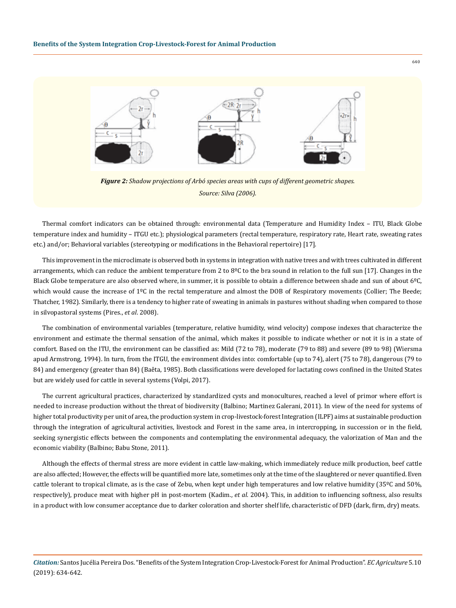

*Figure 2: Shadow projections of Arbó species areas with cups of different geometric shapes. Source: Silva (2006).*

Thermal comfort indicators can be obtained through: environmental data (Temperature and Humidity Index – ITU, Black Globe temperature index and humidity – ITGU etc.); physiological parameters (rectal temperature, respiratory rate, Heart rate, sweating rates etc.) and/or; Behavioral variables (stereotyping or modifications in the Behavioral repertoire) [17].

This improvement in the microclimate is observed both in systems in integration with native trees and with trees cultivated in different arrangements, which can reduce the ambient temperature from 2 to 8°C to the bra sound in relation to the full sun [17]. Changes in the Black Globe temperature are also observed where, in summer, it is possible to obtain a difference between shade and sun of about 6°C, which would cause the increase of 1<sup>o</sup>C in the rectal temperature and almost the DOB of Respiratory movements (Collier; The Beede; Thatcher, 1982). Similarly, there is a tendency to higher rate of sweating in animals in pastures without shading when compared to those in silvopastoral systems (Pires., *et al*. 2008).

The combination of environmental variables (temperature, relative humidity, wind velocity) compose indexes that characterize the environment and estimate the thermal sensation of the animal, which makes it possible to indicate whether or not it is in a state of comfort. Based on the ITU, the environment can be classified as: Mild (72 to 78), moderate (79 to 88) and severe (89 to 98) (Wiersma apud Armstrong, 1994). In turn, from the ITGU, the environment divides into: comfortable (up to 74), alert (75 to 78), dangerous (79 to 84) and emergency (greater than 84) (Baêta, 1985). Both classifications were developed for lactating cows confined in the United States but are widely used for cattle in several systems (Volpi, 2017).

The current agricultural practices, characterized by standardized cysts and monocultures, reached a level of primor where effort is needed to increase production without the threat of biodiversity (Balbino; Martinez Galerani, 2011). In view of the need for systems of higher total productivity per unit of area, the production system in crop-livestock-forest Integration (ILPF) aims at sustainable production through the integration of agricultural activities, livestock and Forest in the same area, in intercropping, in succession or in the field, seeking synergistic effects between the components and contemplating the environmental adequacy, the valorization of Man and the economic viability (Balbino; Babu Stone, 2011).

Although the effects of thermal stress are more evident in cattle law-making, which immediately reduce milk production, beef cattle are also affected; However, the effects will be quantified more late, sometimes only at the time of the slaughtered or never quantified. Even cattle tolerant to tropical climate, as is the case of Zebu, when kept under high temperatures and low relative humidity (35ºC and 50%, respectively), produce meat with higher pH in post-mortem (Kadim., *et al.* 2004). This, in addition to influencing softness, also results in a product with low consumer acceptance due to darker coloration and shorter shelf life, characteristic of DFD (dark, firm, dry) meats.

*Citation:* Santos Jucélia Pereira Dos. "Benefits of the System Integration Crop-Livestock-Forest for Animal Production". *EC Agriculture* 5.10 (2019): 634-642.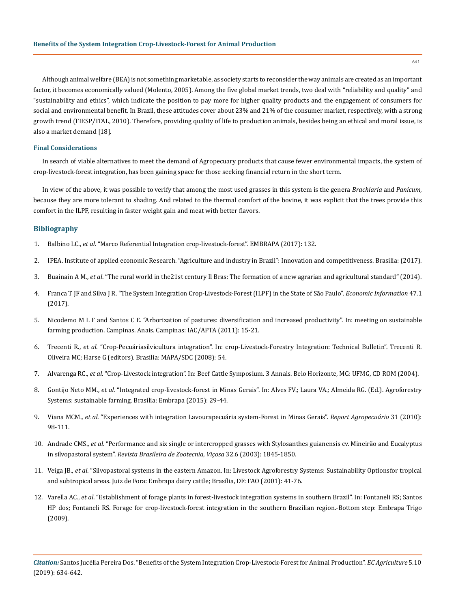641

Although animal welfare (BEA) is not something marketable, as society starts to reconsider the way animals are created as an important factor, it becomes economically valued (Molento, 2005). Among the five global market trends, two deal with "reliability and quality" and "sustainability and ethics", which indicate the position to pay more for higher quality products and the engagement of consumers for social and environmental benefit. In Brazil, these attitudes cover about 23% and 21% of the consumer market, respectively, with a strong growth trend (FIESP/ITAL, 2010). Therefore, providing quality of life to production animals, besides being an ethical and moral issue, is also a market demand [18].

# **Final Considerations**

In search of viable alternatives to meet the demand of Agropecuary products that cause fewer environmental impacts, the system of crop-livestock-forest integration, has been gaining space for those seeking financial return in the short term.

In view of the above, it was possible to verify that among the most used grasses in this system is the genera *Brachiaria* and *Panicum*, because they are more tolerant to shading. And related to the thermal comfort of the bovine, it was explicit that the trees provide this comfort in the ILPF, resulting in faster weight gain and meat with better flavors.

# **Bibliography**

- 1. Balbino LC., *et al*. "Marco Referential Integration crop-livestock-forest". EMBRAPA (2017): 132.
- 2. IPEA. Institute of applied economic Research. "Agriculture and industry in Brazil": Innovation and competitiveness. Brasilia: (2017).
- 3. Buainain A M., *et al*. "The rural world in the21st century Il Bras: The formation of a new agrarian and agricultural standard" (2014).
- 4. Franca T JF and Silva J R. "The System Integration Crop-Livestock-Forest (ILPF) in the State of São Paulo". *Economic Information* 47.1 (2017).
- 5. Nicodemo M L F and Santos C E. "Arborization of pastures: diversification and increased productivity". In: meeting on sustainable farming production. Campinas. Anais. Campinas: IAC/APTA (2011): 15-21.
- 6. Trecenti R., *et al*. "Crop-Pecuáriasilvicultura integration". In: crop-Livestock-Forestry Integration: Technical Bulletin". Trecenti R. Oliveira MC; Harse G (editors). Brasilia: MAPA/SDC (2008): 54.
- 7. Alvarenga RC., *et al*. "Crop-Livestock integration". In: Beef Cattle Symposium. 3 Annals. Belo Horizonte, MG: UFMG, CD ROM (2004).
- 8. Gontijo Neto MM., *et al*. "Integrated crop-livestock-forest in Minas Gerais". In: Alves FV.; Laura VA.; Almeida RG. (Ed.). Agroforestry Systems: sustainable farming. Brasília: Embrapa (2015): 29-44.
- 9. Viana MCM., *et al*. "Experiences with integration Lavourapecuária system-Forest in Minas Gerais". *Report Agropecuário* 31 (2010): 98-111.
- 10. Andrade CMS., *et al*[. "Performance and six single or intercropped grasses with Stylosanthes guianensis cv. Mineirão and Eucalyptus](https://www.researchgate.net/publication/262519510_Performance_of_six_tropical_grasses_alone_or_associated_with_Stylosanthes_guianensis_cv_Mineirao_and_eucalypt_in_silvopastoral_system)  in silvopastoral system". *[Revista Brasileira de Zootecnia, Viçosa](https://www.researchgate.net/publication/262519510_Performance_of_six_tropical_grasses_alone_or_associated_with_Stylosanthes_guianensis_cv_Mineirao_and_eucalypt_in_silvopastoral_system)* 32.6 (2003): 1845-1850.
- 11. Veiga JB., *et al*. "Silvopastoral systems in the eastern Amazon. In: Livestock Agroforestry Systems: Sustainability Optionsfor tropical and subtropical areas. Juiz de Fora: Embrapa dairy cattle; Brasília, DF: FAO (2001): 41-76.
- 12. Varella AC., *et al*. "Establishment of forage plants in forest-livestock integration systems in southern Brazil". In: Fontaneli RS; Santos HP dos; Fontaneli RS. Forage for crop-livestock-forest integration in the southern Brazilian region.-Bottom step: Embrapa Trigo (2009).